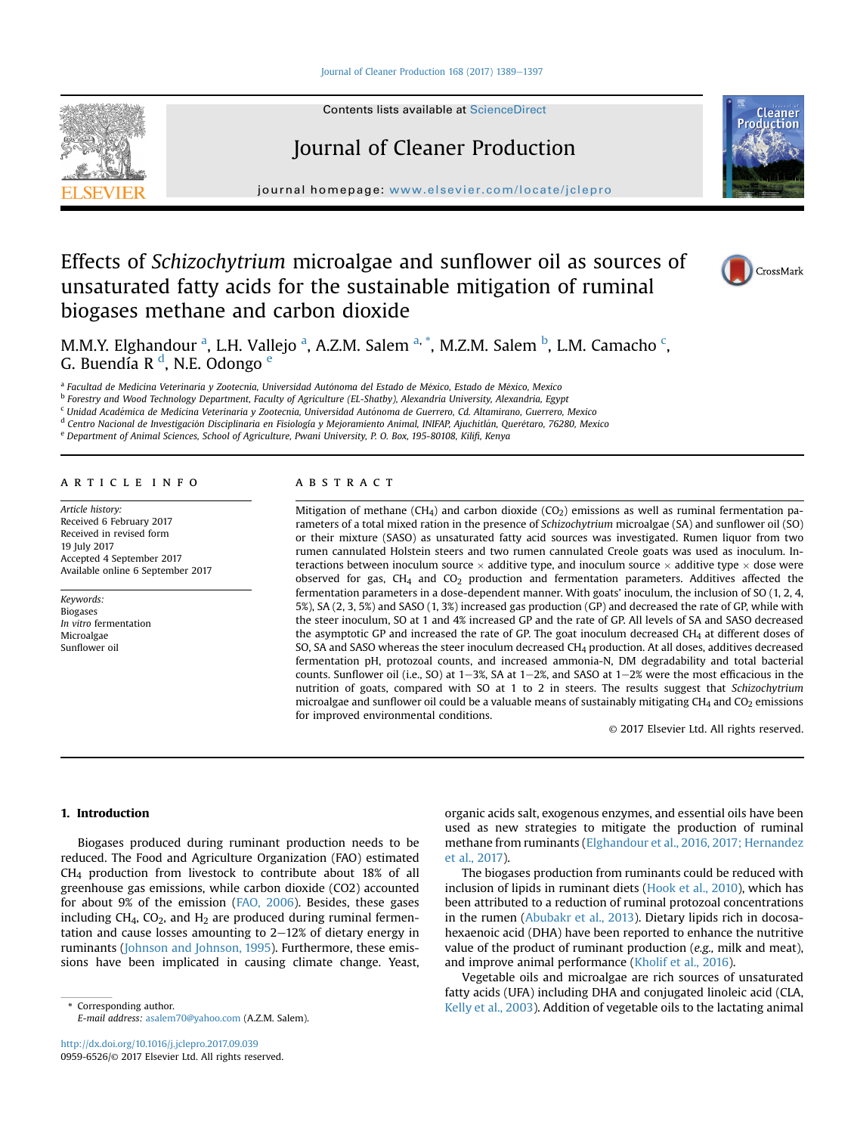#### [Journal of Cleaner Production 168 \(2017\) 1389](https://doi.org/10.1016/j.jclepro.2017.09.039)-[1397](https://doi.org/10.1016/j.jclepro.2017.09.039)



Contents lists available at ScienceDirect

# Journal of Cleaner Production

journal homepage: [www.elsevier.com/locate/jclepro](http://www.elsevier.com/locate/jclepro)

# Effects of Schizochytrium microalgae and sunflower oil as sources of unsaturated fatty acids for the sustainable mitigation of ruminal biogases methane and carbon dioxide





M.M.Y. Elghandour <sup>a</sup>, L.H. Vallejo <sup>a</sup>, A.Z.M. Salem <sup>a, \*</sup>, M.Z.M. Salem <sup>b</sup>, L.M. Camacho <sup>c</sup>, G. Buendía R <sup>d</sup>, N.E. Odongo <sup>e</sup>

<sup>a</sup> Facultad de Medicina Veterinaria y Zootecnia, Universidad Autónoma del Estado de México, Estado de México, Mexico

<sup>b</sup> Forestry and Wood Technology Department, Faculty of Agriculture (EL-Shatby), Alexandria University, Alexandria, Egypt

<sup>c</sup> Unidad Academica de Medicina Veterinaria y Zootecnia, Universidad Autonoma de Guerrero, Cd. Altamirano, Guerrero, Mexico

<sup>d</sup> Centro Nacional de Investigación Disciplinaria en Fisiología y Mejoramiento Animal, INIFAP, Ajuchitlán, Querétaro, 76280, Mexico

<sup>e</sup> Department of Animal Sciences, School of Agriculture, Pwani University, P. O. Box, 195-80108, Kilifi, Kenya

#### article info

Article history: Received 6 February 2017 Received in revised form 19 July 2017 Accepted 4 September 2017 Available online 6 September 2017

Keywords: Biogases In vitro fermentation Microalgae Sunflower oil

# ABSTRACT

Mitigation of methane (CH<sub>4</sub>) and carbon dioxide (CO<sub>2</sub>) emissions as well as ruminal fermentation parameters of a total mixed ration in the presence of Schizochytrium microalgae (SA) and sunflower oil (SO) or their mixture (SASO) as unsaturated fatty acid sources was investigated. Rumen liquor from two rumen cannulated Holstein steers and two rumen cannulated Creole goats was used as inoculum. Interactions between inoculum source  $\times$  additive type, and inoculum source  $\times$  additive type  $\times$  dose were observed for gas,  $CH<sub>4</sub>$  and  $CO<sub>2</sub>$  production and fermentation parameters. Additives affected the fermentation parameters in a dose-dependent manner. With goats' inoculum, the inclusion of SO (1, 2, 4, 5%), SA (2, 3, 5%) and SASO (1, 3%) increased gas production (GP) and decreased the rate of GP, while with the steer inoculum, SO at 1 and 4% increased GP and the rate of GP. All levels of SA and SASO decreased the asymptotic GP and increased the rate of GP. The goat inoculum decreased CH4 at different doses of SO, SA and SASO whereas the steer inoculum decreased CH4 production. At all doses, additives decreased fermentation pH, protozoal counts, and increased ammonia-N, DM degradability and total bacterial counts. Sunflower oil (i.e., SO) at  $1-3$ %, SA at  $1-2$ %, and SASO at  $1-2$ % were the most efficacious in the nutrition of goats, compared with SO at 1 to 2 in steers. The results suggest that Schizochytrium microalgae and sunflower oil could be a valuable means of sustainably mitigating CH<sub>4</sub> and CO<sub>2</sub> emissions for improved environmental conditions.

© 2017 Elsevier Ltd. All rights reserved.

# 1. Introduction

Biogases produced during ruminant production needs to be reduced. The Food and Agriculture Organization (FAO) estimated CH4 production from livestock to contribute about 18% of all greenhouse gas emissions, while carbon dioxide (CO2) accounted for about 9% of the emission ([FAO, 2006\)](#page-7-0). Besides, these gases including  $CH_4$ ,  $CO_2$ , and  $H_2$  are produced during ruminal fermentation and cause losses amounting to  $2-12%$  of dietary energy in ruminants [\(Johnson and Johnson, 1995\)](#page-8-0). Furthermore, these emissions have been implicated in causing climate change. Yeast,

E-mail address: [asalem70@yahoo.com](mailto:asalem70@yahoo.com) (A.Z.M. Salem).

organic acids salt, exogenous enzymes, and essential oils have been used as new strategies to mitigate the production of ruminal methane from ruminants ([Elghandour et al., 2016, 2017; Hernandez](#page-7-0) [et al., 2017](#page-7-0)).

The biogases production from ruminants could be reduced with inclusion of lipids in ruminant diets [\(Hook et al., 2010](#page-8-0)), which has been attributed to a reduction of ruminal protozoal concentrations in the rumen ([Abubakr et al., 2013](#page-7-0)). Dietary lipids rich in docosahexaenoic acid (DHA) have been reported to enhance the nutritive value of the product of ruminant production (e.g., milk and meat), and improve animal performance [\(Kholif et al., 2016](#page-8-0)).

Vegetable oils and microalgae are rich sources of unsaturated fatty acids (UFA) including DHA and conjugated linoleic acid (CLA, Corresponding author. The lactating animal telecomposition of vegetable oils to the lactating animal telecomposition of vegetable oils to the lactating animal telecomposition of vegetable oils to the lactating animal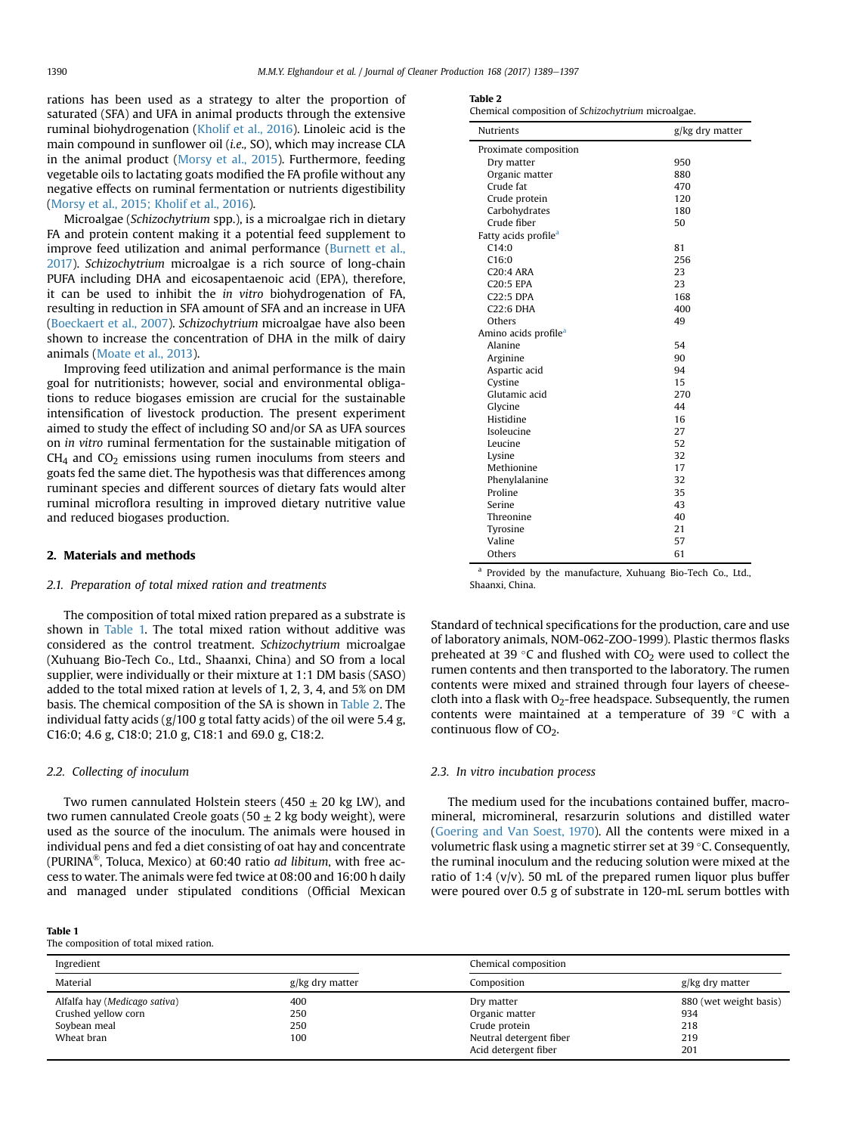rations has been used as a strategy to alter the proportion of saturated (SFA) and UFA in animal products through the extensive ruminal biohydrogenation [\(Kholif et al., 2016\)](#page-8-0). Linoleic acid is the main compound in sunflower oil (i.e., SO), which may increase CLA in the animal product ([Morsy et al., 2015](#page-8-0)). Furthermore, feeding vegetable oils to lactating goats modified the FA profile without any negative effects on ruminal fermentation or nutrients digestibility ([Morsy et al., 2015; Kholif et al., 2016](#page-8-0)).

Microalgae (Schizochytrium spp.), is a microalgae rich in dietary FA and protein content making it a potential feed supplement to improve feed utilization and animal performance ([Burnett et al.,](#page-7-0) [2017\)](#page-7-0). Schizochytrium microalgae is a rich source of long-chain PUFA including DHA and eicosapentaenoic acid (EPA), therefore, it can be used to inhibit the in vitro biohydrogenation of FA, resulting in reduction in SFA amount of SFA and an increase in UFA ([Boeckaert et al., 2007\)](#page-7-0). Schizochytrium microalgae have also been shown to increase the concentration of DHA in the milk of dairy animals ([Moate et al., 2013](#page-8-0)).

Improving feed utilization and animal performance is the main goal for nutritionists; however, social and environmental obligations to reduce biogases emission are crucial for the sustainable intensification of livestock production. The present experiment aimed to study the effect of including SO and/or SA as UFA sources on in vitro ruminal fermentation for the sustainable mitigation of  $CH<sub>4</sub>$  and  $CO<sub>2</sub>$  emissions using rumen inoculums from steers and goats fed the same diet. The hypothesis was that differences among ruminant species and different sources of dietary fats would alter ruminal microflora resulting in improved dietary nutritive value and reduced biogases production.

#### 2. Materials and methods

#### 2.1. Preparation of total mixed ration and treatments

The composition of total mixed ration prepared as a substrate is shown in Table 1. The total mixed ration without additive was considered as the control treatment. Schizochytrium microalgae (Xuhuang Bio-Tech Co., Ltd., Shaanxi, China) and SO from a local supplier, were individually or their mixture at 1:1 DM basis (SASO) added to the total mixed ration at levels of 1, 2, 3, 4, and 5% on DM basis. The chemical composition of the SA is shown in Table 2. The individual fatty acids (g/100 g total fatty acids) of the oil were 5.4 g, C16:0; 4.6 g, C18:0; 21.0 g, C18:1 and 69.0 g, C18:2.

#### 2.2. Collecting of inoculum

Two rumen cannulated Holstein steers (450  $\pm$  20 kg LW), and two rumen cannulated Creole goats (50  $\pm$  2 kg body weight), were used as the source of the inoculum. The animals were housed in individual pens and fed a diet consisting of oat hay and concentrate (PURINA<sup>®</sup>, Toluca, Mexico) at 60:40 ratio *ad libitum*, with free access to water. The animals were fed twice at 08:00 and 16:00 h daily and managed under stipulated conditions (Official Mexican

#### Table 1

The composition of total mixed ration.

|--|

Chemical composition of Schizochytrium microalgae.

| <b>Nutrients</b>                 | g/kg dry matter |
|----------------------------------|-----------------|
| Proximate composition            |                 |
| Dry matter                       | 950             |
| Organic matter                   | 880             |
| Crude fat                        | 470             |
| Crude protein                    | 120             |
| Carbohydrates                    | 180             |
| Crude fiber                      | 50              |
| Fatty acids profile <sup>a</sup> |                 |
| C14:0                            | 81              |
| C16:0                            | 256             |
| $C20:4$ ARA                      | 23              |
| <b>C20:5 EPA</b>                 | 23              |
| C22:5 DPA                        | 168             |
| $C22:6$ DHA                      | 400             |
| Others                           | 49              |
| Amino acids profile <sup>a</sup> |                 |
| Alanine                          | 54              |
| Arginine                         | 90              |
| Aspartic acid                    | 94              |
| Cystine                          | 15              |
| Glutamic acid                    | 270             |
| Glycine                          | 44              |
| Histidine                        | 16              |
| Isoleucine                       | 27              |
| Leucine                          | 52              |
| Lysine                           | 32              |
| Methionine                       | 17              |
| Phenylalanine                    | 32              |
| Proline                          | 35              |
| Serine                           | 43              |
| Threonine                        | 40              |
| Tyrosine                         | 21              |
| Valine                           | 57              |
| Others                           | 61              |

Provided by the manufacture, Xuhuang Bio-Tech Co., Ltd., Shaanxi, China.

Standard of technical specifications for the production, care and use of laboratory animals, NOM-062-ZOO-1999). Plastic thermos flasks preheated at 39 $\degree$ C and flushed with CO<sub>2</sub> were used to collect the rumen contents and then transported to the laboratory. The rumen contents were mixed and strained through four layers of cheesecloth into a flask with  $O<sub>2</sub>$ -free headspace. Subsequently, the rumen contents were maintained at a temperature of 39  $^{\circ}$ C with a continuous flow of CO<sub>2</sub>.

#### 2.3. In vitro incubation process

The medium used for the incubations contained buffer, macromineral, micromineral, resarzurin solutions and distilled water ([Goering and Van Soest, 1970](#page-8-0)). All the contents were mixed in a volumetric flask using a magnetic stirrer set at  $39^{\circ}$ C. Consequently, the ruminal inoculum and the reducing solution were mixed at the ratio of 1:4  $(v/v)$ . 50 mL of the prepared rumen liquor plus buffer were poured over 0.5 g of substrate in 120-mL serum bottles with

| Ingredient                    |                 | Chemical composition    |                        |
|-------------------------------|-----------------|-------------------------|------------------------|
| Material                      | g/kg dry matter | Composition             | g/kg dry matter        |
| Alfalfa hay (Medicago sativa) | 400             | Dry matter              | 880 (wet weight basis) |
| Crushed yellow corn           | 250             | Organic matter          | 934                    |
| Soybean meal                  | 250             | Crude protein           | 218                    |
| Wheat bran                    | 100             | Neutral detergent fiber | 219                    |
|                               |                 | Acid detergent fiber    | 201                    |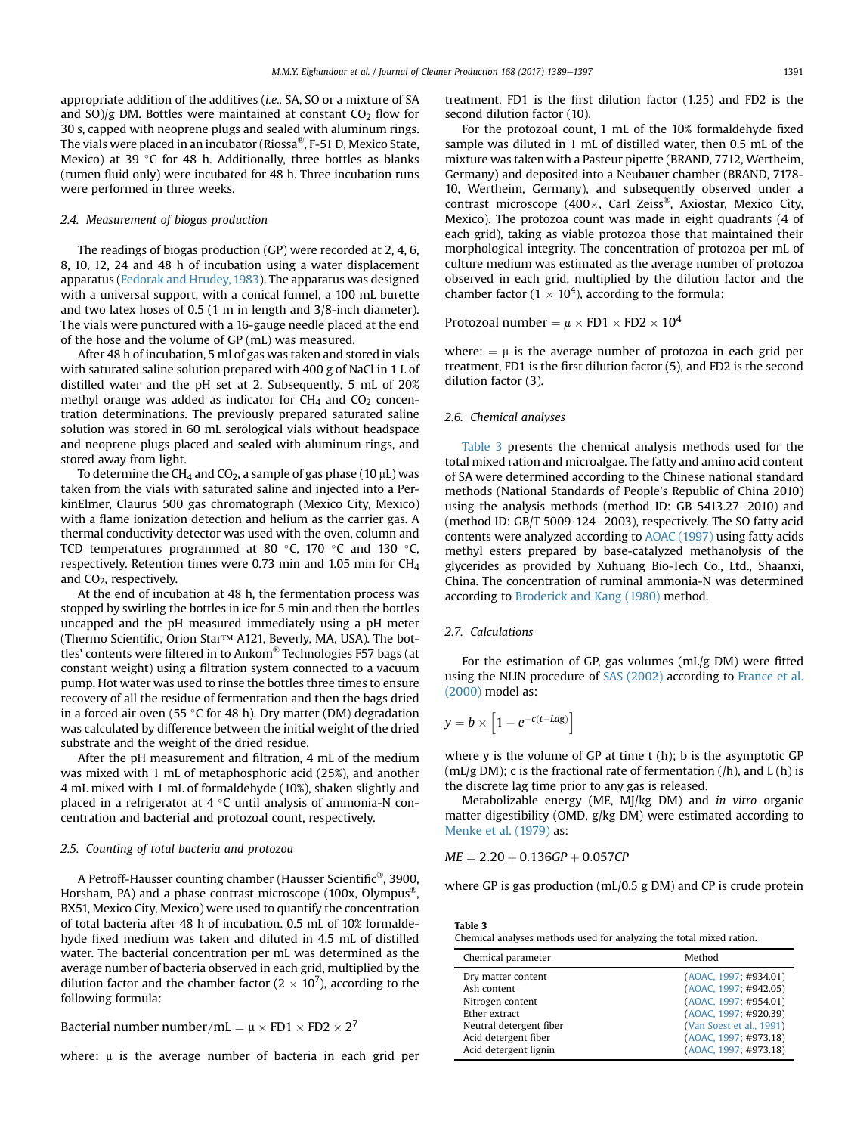appropriate addition of the additives (i.e., SA, SO or a mixture of SA and  $SO/g$  DM. Bottles were maintained at constant  $CO<sub>2</sub>$  flow for 30 s, capped with neoprene plugs and sealed with aluminum rings. The vials were placed in an incubator (Riossa®, F-51 D, Mexico State, Mexico) at 39  $\degree$ C for 48 h. Additionally, three bottles as blanks (rumen fluid only) were incubated for 48 h. Three incubation runs were performed in three weeks.

# 2.4. Measurement of biogas production

The readings of biogas production (GP) were recorded at 2, 4, 6, 8, 10, 12, 24 and 48 h of incubation using a water displacement apparatus ([Fedorak and Hrudey, 1983\)](#page-7-0). The apparatus was designed with a universal support, with a conical funnel, a 100 mL burette and two latex hoses of 0.5 (1 m in length and 3/8-inch diameter). The vials were punctured with a 16-gauge needle placed at the end of the hose and the volume of GP (mL) was measured.

After 48 h of incubation, 5 ml of gas was taken and stored in vials with saturated saline solution prepared with 400 g of NaCl in 1 L of distilled water and the pH set at 2. Subsequently, 5 mL of 20% methyl orange was added as indicator for  $CH<sub>4</sub>$  and  $CO<sub>2</sub>$  concentration determinations. The previously prepared saturated saline solution was stored in 60 mL serological vials without headspace and neoprene plugs placed and sealed with aluminum rings, and stored away from light.

To determine the CH<sub>4</sub> and CO<sub>2</sub>, a sample of gas phase (10  $\mu$ L) was taken from the vials with saturated saline and injected into a PerkinElmer, Claurus 500 gas chromatograph (Mexico City, Mexico) with a flame ionization detection and helium as the carrier gas. A thermal conductivity detector was used with the oven, column and TCD temperatures programmed at 80 $\degree$ C, 170 $\degree$ C and 130 $\degree$ C, respectively. Retention times were 0.73 min and 1.05 min for CH4 and CO<sub>2</sub>, respectively.

At the end of incubation at 48 h, the fermentation process was stopped by swirling the bottles in ice for 5 min and then the bottles uncapped and the pH measured immediately using a pH meter (Thermo Scientific, Orion Star™ A121, Beverly, MA, USA). The bottles' contents were filtered in to Ankom® Technologies F57 bags (at constant weight) using a filtration system connected to a vacuum pump. Hot water was used to rinse the bottles three times to ensure recovery of all the residue of fermentation and then the bags dried in a forced air oven (55 °C for 48 h). Dry matter (DM) degradation was calculated by difference between the initial weight of the dried substrate and the weight of the dried residue.

After the pH measurement and filtration, 4 mL of the medium was mixed with 1 mL of metaphosphoric acid (25%), and another 4 mL mixed with 1 mL of formaldehyde (10%), shaken slightly and placed in a refrigerator at  $4^{\circ}$ C until analysis of ammonia-N concentration and bacterial and protozoal count, respectively.

#### 2.5. Counting of total bacteria and protozoa

A Petroff-Hausser counting chamber (Hausser Scientific®, 3900, Horsham, PA) and a phase contrast microscope (100x, Olympus<sup>®</sup>, BX51, Mexico City, Mexico) were used to quantify the concentration of total bacteria after 48 h of incubation. 0.5 mL of 10% formaldehyde fixed medium was taken and diluted in 4.5 mL of distilled water. The bacterial concentration per mL was determined as the average number of bacteria observed in each grid, multiplied by the dilution factor and the chamber factor ( $2 \times 10^7$ ), according to the following formula:

Bacterial number number/mL =  $\mu \times FD1 \times FD2 \times 2^7$ 

where:  $\mu$  is the average number of bacteria in each grid per

treatment, FD1 is the first dilution factor (1.25) and FD2 is the second dilution factor (10).

For the protozoal count, 1 mL of the 10% formaldehyde fixed sample was diluted in 1 mL of distilled water, then 0.5 mL of the mixture was taken with a Pasteur pipette (BRAND, 7712, Wertheim, Germany) and deposited into a Neubauer chamber (BRAND, 7178- 10, Wertheim, Germany), and subsequently observed under a contrast microscope (400 $\times$ , Carl Zeiss®, Axiostar, Mexico City, Mexico). The protozoa count was made in eight quadrants (4 of each grid), taking as viable protozoa those that maintained their morphological integrity. The concentration of protozoa per mL of culture medium was estimated as the average number of protozoa observed in each grid, multiplied by the dilution factor and the chamber factor ( $1 \times 10^4$ ), according to the formula:

Protozoal number =  $\mu \times FD1 \times FD2 \times 10^4$ 

where:  $= \mu$  is the average number of protozoa in each grid per treatment, FD1 is the first dilution factor (5), and FD2 is the second dilution factor (3).

# 2.6. Chemical analyses

Table 3 presents the chemical analysis methods used for the total mixed ration and microalgae. The fatty and amino acid content of SA were determined according to the Chinese national standard methods (National Standards of People's Republic of China 2010) using the analysis methods (method ID: GB  $5413.27-2010$ ) and (method ID: GB/T 5009 $\cdot$ 124-2003), respectively. The SO fatty acid contents were analyzed according to [AOAC \(1997\)](#page-7-0) using fatty acids methyl esters prepared by base-catalyzed methanolysis of the glycerides as provided by Xuhuang Bio-Tech Co., Ltd., Shaanxi, China. The concentration of ruminal ammonia-N was determined according to [Broderick and Kang \(1980\)](#page-7-0) method.

# 2.7. Calculations

For the estimation of GP, gas volumes (mL/g DM) were fitted using the NLIN procedure of [SAS \(2002\)](#page-8-0) according to [France et al.](#page-7-0) [\(2000\)](#page-7-0) model as:

$$
y = b \times \left[1 - e^{-c(t - Lag)}\right]
$$

where  $y$  is the volume of GP at time  $t(h)$ ; b is the asymptotic GP (mL/g DM); c is the fractional rate of fermentation (/h), and  $L(h)$  is the discrete lag time prior to any gas is released.

Metabolizable energy (ME, MJ/kg DM) and in vitro organic matter digestibility (OMD, g/kg DM) were estimated according to [Menke et al. \(1979\)](#page-8-0) as:

 $ME = 2.20 + 0.136GP + 0.057CP$ 

where GP is gas production (mL/0.5 g DM) and CP is crude protein

Table 3

Chemical analyses methods used for analyzing the total mixed ration.

| Chemical parameter      | Method                   |
|-------------------------|--------------------------|
| Dry matter content      | (AOAC, 1997; #934.01)    |
| Ash content             | (AOAC, 1997; #942.05)    |
| Nitrogen content        | (AOAC, 1997; #954.01)    |
| Ether extract           | (AOAC, 1997; #920.39)    |
| Neutral detergent fiber | (Van Soest et al., 1991) |
| Acid detergent fiber    | (AOAC, 1997; #973.18)    |
| Acid detergent lignin   | (AOAC, 1997; #973.18)    |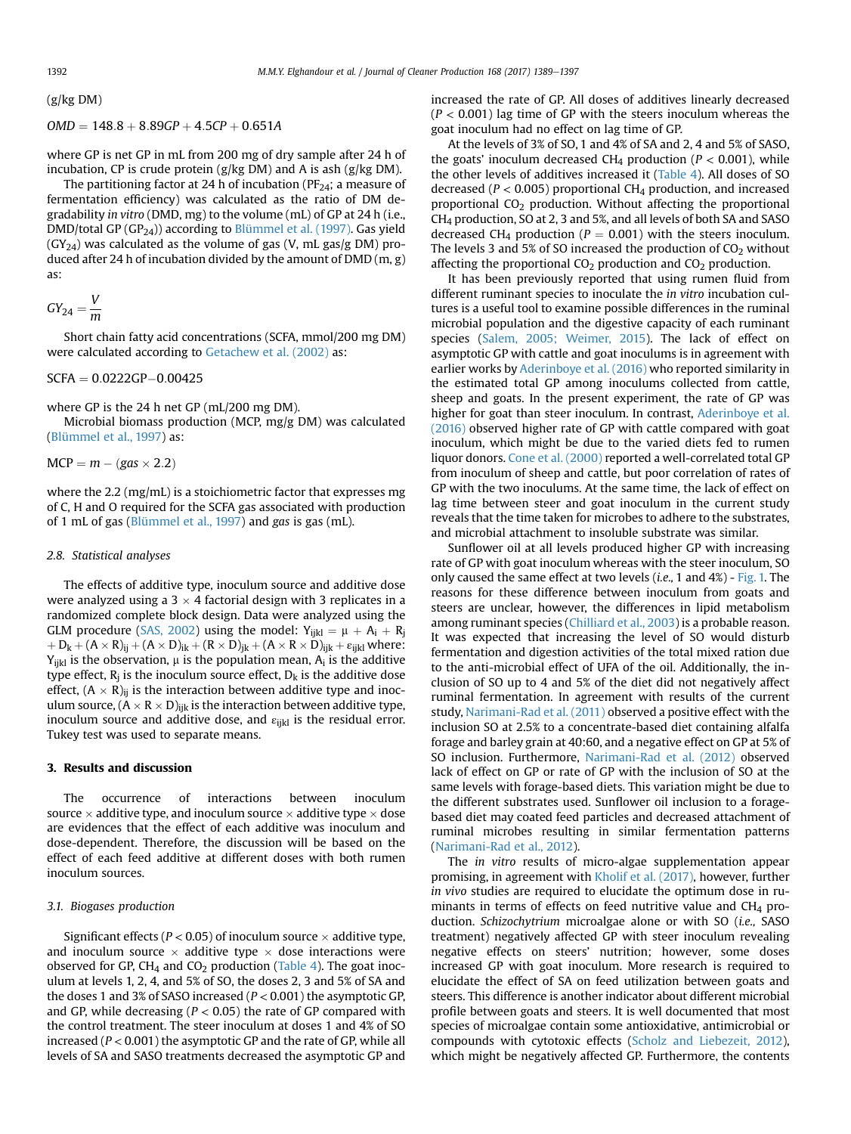$(g/kg DM)$ 

$$
OMD = 148.8 + 8.89GP + 4.5CP + 0.651A
$$

where GP is net GP in mL from 200 mg of dry sample after 24 h of incubation, CP is crude protein (g/kg DM) and A is ash (g/kg DM).

The partitioning factor at 24 h of incubation ( $PF_{24}$ ; a measure of fermentation efficiency) was calculated as the ratio of DM degradability in vitro (DMD, mg) to the volume (mL) of GP at 24 h (i.e., DMD/total GP  $(GP_{24})$ ) according to [Blümmel et al. \(1997\)](#page-7-0). Gas yield  $(GY_{24})$  was calculated as the volume of gas (V, mL gas/g DM) produced after 24 h of incubation divided by the amount of DMD (m, g) as:

$$
GY_{24} = \frac{V}{m}
$$

Short chain fatty acid concentrations (SCFA, mmol/200 mg DM) were calculated according to [Getachew et al. \(2002\)](#page-8-0) as:

 $SCFA = 0.0222GP - 0.00425$ 

where GP is the 24 h net GP (mL/200 mg DM).

Microbial biomass production (MCP, mg/g DM) was calculated ([Blümmel et al., 1997\)](#page-7-0) as:

 $MCP = m - (gas \times 2.2)$ 

where the 2.2 (mg/mL) is a stoichiometric factor that expresses mg of C, H and O required for the SCFA gas associated with production of 1 mL of gas ([Blümmel et al., 1997\)](#page-7-0) and gas is gas (mL).

#### 2.8. Statistical analyses

The effects of additive type, inoculum source and additive dose were analyzed using a  $3 \times 4$  factorial design with 3 replicates in a randomized complete block design. Data were analyzed using the GLM procedure [\(SAS, 2002\)](#page-8-0) using the model:  $Y_{iikl} = \mu + A_i + R_i$  $+D_k+(A\times R)_{ii}+(A\times D)_{ik}+(R\times D)_{ik}+(A\times R\times D)_{iik}+\epsilon_{iikl}$  where:  $Y_{ijkl}$  is the observation,  $\mu$  is the population mean,  $A_i$  is the additive type effect,  $R_i$  is the inoculum source effect,  $D_k$  is the additive dose effect,  $(A \times R)_{ii}$  is the interaction between additive type and inoculum source,  $(A \times R \times D)_{ijk}$  is the interaction between additive type, inoculum source and additive dose, and  $\varepsilon_{ijkl}$  is the residual error. Tukey test was used to separate means.

# 3. Results and discussion

The occurrence of interactions between inoculum source  $\times$  additive type, and inoculum source  $\times$  additive type  $\times$  dose are evidences that the effect of each additive was inoculum and dose-dependent. Therefore, the discussion will be based on the effect of each feed additive at different doses with both rumen inoculum sources.

# 3.1. Biogases production

Significant effects ( $P < 0.05$ ) of inoculum source  $\times$  additive type, and inoculum source  $\times$  additive type  $\times$  dose interactions were observed for GP, CH<sub>4</sub> and CO<sub>2</sub> production ([Table 4\)](#page-4-0). The goat inoculum at levels 1, 2, 4, and 5% of SO, the doses 2, 3 and 5% of SA and the doses 1 and 3% of SASO increased ( $P < 0.001$ ) the asymptotic GP, and GP, while decreasing ( $P < 0.05$ ) the rate of GP compared with the control treatment. The steer inoculum at doses 1 and 4% of SO increased ( $P < 0.001$ ) the asymptotic GP and the rate of GP, while all levels of SA and SASO treatments decreased the asymptotic GP and increased the rate of GP. All doses of additives linearly decreased  $(P < 0.001)$  lag time of GP with the steers inoculum whereas the goat inoculum had no effect on lag time of GP.

At the levels of 3% of SO, 1 and 4% of SA and 2, 4 and 5% of SASO, the goats' inoculum decreased CH<sub>4</sub> production ( $P < 0.001$ ), while the other levels of additives increased it ([Table 4](#page-4-0)). All doses of SO decreased ( $P < 0.005$ ) proportional CH<sub>4</sub> production, and increased proportional  $CO<sub>2</sub>$  production. Without affecting the proportional CH4 production, SO at 2, 3 and 5%, and all levels of both SA and SASO decreased CH<sub>4</sub> production ( $P = 0.001$ ) with the steers inoculum. The levels 3 and 5% of SO increased the production of  $CO<sub>2</sub>$  without affecting the proportional  $CO<sub>2</sub>$  production and  $CO<sub>2</sub>$  production.

It has been previously reported that using rumen fluid from different ruminant species to inoculate the in vitro incubation cultures is a useful tool to examine possible differences in the ruminal microbial population and the digestive capacity of each ruminant species ([Salem, 2005; Weimer, 2015](#page-8-0)). The lack of effect on asymptotic GP with cattle and goat inoculums is in agreement with earlier works by [Aderinboye et al. \(2016\)](#page-7-0) who reported similarity in the estimated total GP among inoculums collected from cattle, sheep and goats. In the present experiment, the rate of GP was higher for goat than steer inoculum. In contrast, [Aderinboye et al.](#page-7-0) [\(2016\)](#page-7-0) observed higher rate of GP with cattle compared with goat inoculum, which might be due to the varied diets fed to rumen liquor donors. [Cone et al. \(2000\)](#page-7-0) reported a well-correlated total GP from inoculum of sheep and cattle, but poor correlation of rates of GP with the two inoculums. At the same time, the lack of effect on lag time between steer and goat inoculum in the current study reveals that the time taken for microbes to adhere to the substrates, and microbial attachment to insoluble substrate was similar.

Sunflower oil at all levels produced higher GP with increasing rate of GP with goat inoculum whereas with the steer inoculum, SO only caused the same effect at two levels (*i.e.*, 1 and  $4\%$ ) - [Fig. 1.](#page-5-0) The reasons for these difference between inoculum from goats and steers are unclear, however, the differences in lipid metabolism among ruminant species [\(Chilliard et al., 2003\)](#page-7-0) is a probable reason. It was expected that increasing the level of SO would disturb fermentation and digestion activities of the total mixed ration due to the anti-microbial effect of UFA of the oil. Additionally, the inclusion of SO up to 4 and 5% of the diet did not negatively affect ruminal fermentation. In agreement with results of the current study, [Narimani-Rad et al. \(2011\)](#page-8-0) observed a positive effect with the inclusion SO at 2.5% to a concentrate-based diet containing alfalfa forage and barley grain at 40:60, and a negative effect on GP at 5% of SO inclusion. Furthermore, [Narimani-Rad et al. \(2012\)](#page-8-0) observed lack of effect on GP or rate of GP with the inclusion of SO at the same levels with forage-based diets. This variation might be due to the different substrates used. Sunflower oil inclusion to a foragebased diet may coated feed particles and decreased attachment of ruminal microbes resulting in similar fermentation patterns ([Narimani-Rad et al., 2012](#page-8-0)).

The in vitro results of micro-algae supplementation appear promising, in agreement with [Kholif et al. \(2017\)](#page-8-0), however, further in vivo studies are required to elucidate the optimum dose in ruminants in terms of effects on feed nutritive value and  $CH<sub>4</sub>$  production. Schizochytrium microalgae alone or with SO (i.e., SASO treatment) negatively affected GP with steer inoculum revealing negative effects on steers' nutrition; however, some doses increased GP with goat inoculum. More research is required to elucidate the effect of SA on feed utilization between goats and steers. This difference is another indicator about different microbial profile between goats and steers. It is well documented that most species of microalgae contain some antioxidative, antimicrobial or compounds with cytotoxic effects ([Scholz and Liebezeit, 2012\)](#page-8-0), which might be negatively affected GP. Furthermore, the contents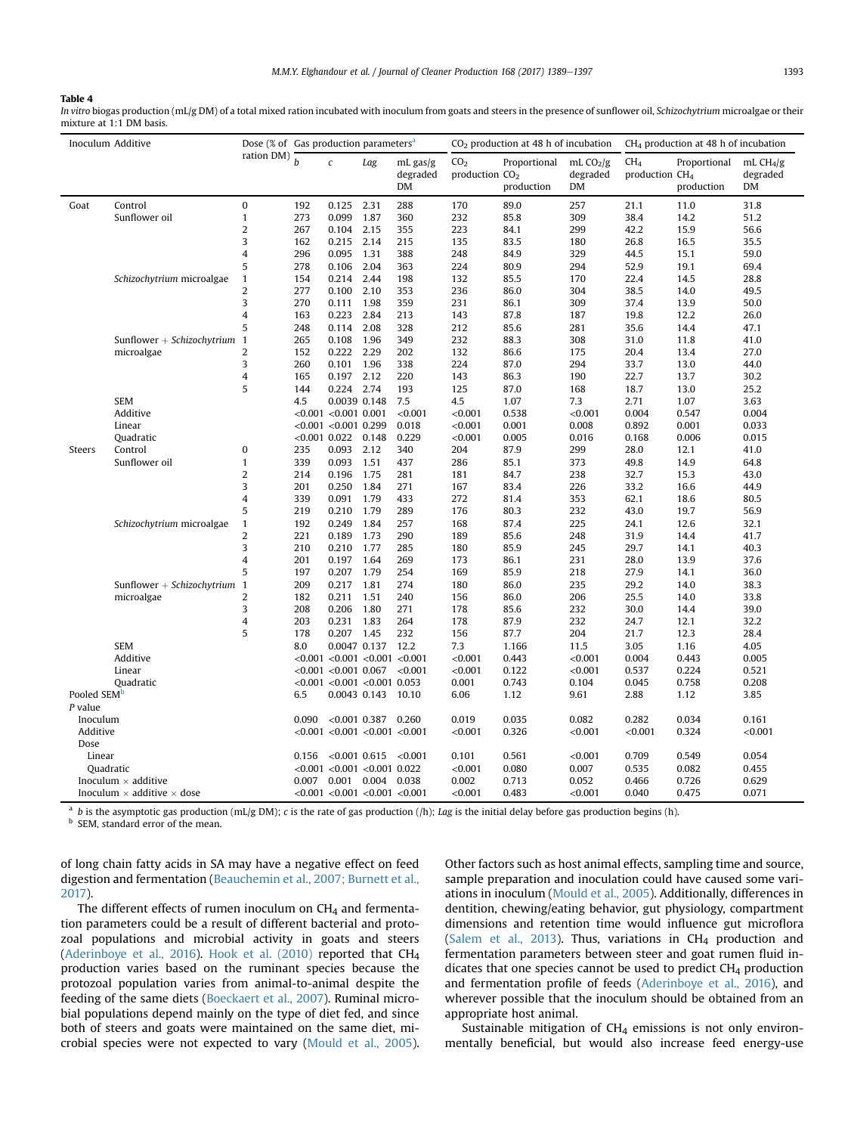# <span id="page-4-0"></span>Table 4

In vitro biogas production (mL/g DM) of a total mixed ration incubated with inoculum from goats and steers in the presence of sunflower oil, Schizochytrium microalgae or their mixture at 1:1 DM basis.

| Inoculum Additive                        |                            |                          | Dose (% of Gas production parameters <sup>a</sup> |                                     |                       |                            |                                     | $CO2$ production at 48 h of incubation |                              | $CH4$ production at 48 h of incubation        |                            |                              |
|------------------------------------------|----------------------------|--------------------------|---------------------------------------------------|-------------------------------------|-----------------------|----------------------------|-------------------------------------|----------------------------------------|------------------------------|-----------------------------------------------|----------------------------|------------------------------|
|                                          |                            | ration DM) $\frac{1}{h}$ |                                                   | $\boldsymbol{c}$                    | Lag                   | mL gas/g<br>degraded<br>DM | CO <sub>2</sub><br>production $CO2$ | Proportional<br>production             | mL $CO2/g$<br>degraded<br>DM | CH <sub>4</sub><br>production CH <sub>4</sub> | Proportional<br>production | mL $CH4/g$<br>degraded<br>DM |
| Goat                                     | Control                    | $\mathbf{0}$             | 192                                               | 0.125                               | 2.31                  | 288                        | 170                                 | 89.0                                   | 257                          | 21.1                                          | 11.0                       | 31.8                         |
|                                          | Sunflower oil              | $\mathbf{1}$             | 273                                               | 0.099                               | 1.87                  | 360                        | 232                                 | 85.8                                   | 309                          | 38.4                                          | 14.2                       | 51.2                         |
|                                          |                            | $\overline{\mathbf{c}}$  | 267                                               | 0.104                               | 2.15                  | 355                        | 223                                 | 84.1                                   | 299                          | 42.2                                          | 15.9                       | 56.6                         |
|                                          |                            | 3                        | 162                                               | 0.215                               | 2.14                  | 215                        | 135                                 | 83.5                                   | 180                          | 26.8                                          | 16.5                       | 35.5                         |
|                                          |                            | 4                        | 296                                               | 0.095                               | 1.31                  | 388                        | 248                                 | 84.9                                   | 329                          | 44.5                                          | 15.1                       | 59.0                         |
|                                          |                            | 5                        | 278                                               | 0.106                               | 2.04                  | 363                        | 224                                 | 80.9                                   | 294                          | 52.9                                          | 19.1                       | 69.4                         |
|                                          | Schizochytrium microalgae  | $\mathbf{1}$             | 154                                               | 0.214                               | 2.44                  | 198                        | 132                                 | 85.5                                   | 170                          | 22.4                                          | 14.5                       | 28.8                         |
|                                          |                            | $\overline{2}$           | 277                                               | 0.100                               | 2.10                  | 353                        | 236                                 | 86.0                                   | 304                          | 38.5                                          | 14.0                       | 49.5                         |
|                                          |                            | 3                        | 270                                               | 0.111                               | 1.98                  | 359                        | 231                                 | 86.1                                   | 309                          | 37.4                                          | 13.9                       | 50.0                         |
|                                          |                            | $\overline{4}$           | 163                                               | 0.223                               | 2.84                  | 213                        | 143                                 | 87.8                                   | 187                          | 19.8                                          | 12.2                       | 26.0                         |
|                                          |                            | 5                        | 248                                               | 0.114                               | 2.08                  | 328                        | 212                                 | 85.6                                   | 281                          | 35.6                                          | 14.4                       | 47.1                         |
|                                          | Sunflower + Schizochytrium | $\overline{1}$           | 265                                               | 0.108                               | 1.96                  | 349                        | 232                                 | 88.3                                   | 308                          | 31.0                                          | 11.8                       | 41.0                         |
|                                          | microalgae                 | 2                        | 152                                               | 0.222                               | 2.29                  | 202                        | 132                                 | 86.6                                   | 175                          | 20.4                                          | 13.4                       | 27.0                         |
|                                          |                            | 3                        | 260                                               | 0.101                               | 1.96                  | 338                        | 224                                 | 87.0                                   | 294                          | 33.7                                          | 13.0                       | 44.0                         |
|                                          |                            | $\overline{4}$           | 165                                               | 0.197                               | 2.12                  | 220                        | 143                                 | 86.3                                   | 190                          | 22.7                                          | 13.7                       | 30.2                         |
|                                          |                            | 5                        | 144                                               | 0.224 2.74                          |                       | 193                        | 125                                 | 87.0                                   | 168                          | 18.7                                          | 13.0                       | 25.2                         |
|                                          | <b>SEM</b>                 |                          | 4.5                                               | 0.0039 0.148                        |                       | 7.5                        | 4.5                                 | 1.07                                   | 7.3                          | 2.71                                          | 1.07                       | 3.63                         |
|                                          | Additive                   |                          |                                                   | $< 0.001 < 0.001$ 0.001             |                       | < 0.001                    | < 0.001                             | 0.538                                  | < 0.001                      | 0.004                                         | 0.547                      | 0.004                        |
|                                          | Linear                     |                          |                                                   | $< 0.001$ $< 0.001$ 0.299           |                       | 0.018                      | < 0.001                             | 0.001                                  | 0.008                        | 0.892                                         | 0.001                      | 0.033                        |
|                                          | Quadratic                  |                          | $< 0.001$ 0.022                                   |                                     | 0.148                 | 0.229                      | < 0.001                             | 0.005                                  | 0.016                        | 0.168                                         | 0.006                      | 0.015                        |
| Steers                                   | Control                    | $\bf{0}$                 | 235                                               | 0.093                               | 2.12                  | 340                        | 204                                 | 87.9                                   | 299                          | 28.0                                          | 12.1                       | 41.0                         |
|                                          | Sunflower oil              | $\mathbf{1}$             | 339                                               | 0.093                               | 1.51                  | 437                        | 286                                 | 85.1                                   | 373                          | 49.8                                          | 14.9                       | 64.8                         |
|                                          |                            | $\overline{2}$           | 214                                               | 0.196                               | 1.75                  | 281                        | 181                                 | 84.7                                   | 238                          | 32.7                                          | 15.3                       | 43.0                         |
|                                          |                            | 3                        | 201                                               | 0.250                               | 1.84                  | 271                        | 167                                 | 83.4                                   | 226                          | 33.2                                          | 16.6                       | 44.9                         |
|                                          |                            | $\overline{4}$           | 339                                               | 0.091                               | 1.79                  | 433                        | 272                                 | 81.4                                   | 353                          | 62.1                                          | 18.6                       | 80.5                         |
|                                          |                            | 5                        | 219                                               | 0.210                               | 1.79                  | 289                        | 176                                 | 80.3                                   | 232                          | 43.0                                          | 19.7                       | 56.9                         |
|                                          | Schizochytrium microalgae  | $\mathbf{1}$             | 192                                               | 0.249                               | 1.84                  | 257                        | 168                                 | 87.4                                   | 225                          | 24.1                                          | 12.6                       | 32.1                         |
|                                          |                            | $\overline{2}$           | 221                                               | 0.189                               | 1.73                  | 290                        | 189                                 | 85.6                                   | 248                          | 31.9                                          | 14.4                       | 41.7                         |
|                                          |                            | 3                        | 210                                               | 0.210                               | 1.77                  | 285                        | 180                                 | 85.9                                   | 245                          | 29.7                                          | 14.1                       | 40.3                         |
|                                          |                            | $\overline{4}$           | 201                                               | 0.197                               | 1.64                  | 269                        | 173                                 | 86.1                                   | 231                          | 28.0                                          | 13.9                       | 37.6                         |
|                                          |                            | 5                        | 197                                               | 0.207                               | 1.79                  | 254                        | 169                                 | 85.9                                   | 218                          | 27.9                                          | 14.1                       | 36.0                         |
|                                          | Sunflower + Schizochytrium | $\overline{1}$           | 209                                               | 0.217                               | 1.81                  | 274                        | 180                                 | 86.0                                   | 235                          | 29.2                                          | 14.0                       | 38.3                         |
|                                          | microalgae                 | 2                        | 182                                               | 0.211                               | 1.51                  | 240                        | 156                                 | 86.0                                   | 206                          | 25.5                                          | 14.0                       | 33.8                         |
|                                          |                            | 3                        | 208                                               | 0.206                               | 1.80                  | 271                        | 178                                 | 85.6                                   | 232                          | 30.0                                          | 14.4                       | 39.0                         |
|                                          |                            | 4                        | 203                                               | 0.231                               | 1.83                  | 264                        | 178                                 | 87.9                                   | 232                          | 24.7                                          | 12.1                       | 32.2                         |
|                                          |                            | 5                        | 178                                               | 0.207                               | 1.45                  | 232                        | 156                                 | 87.7                                   | 204                          | 21.7                                          | 12.3                       | 28.4                         |
|                                          | <b>SEM</b>                 |                          | 8.0                                               | 0.0047 0.137                        |                       | 12.2                       | 7.3                                 | 1.166                                  | 11.5                         | 3.05                                          | 1.16                       | 4.05                         |
|                                          | Additive                   |                          |                                                   | $< 0.001$ < 0.001 < 0.001 < 0.001   |                       |                            | < 0.001                             | 0.443                                  | < 0.001                      | 0.004                                         | 0.443                      | 0.005                        |
|                                          | Linear                     |                          |                                                   | $< 0.001$ $< 0.001$ 0.067           |                       | < 0.001                    | < 0.001                             | 0.122                                  | < 0.001                      | 0.537                                         | 0.224                      | 0.521                        |
|                                          | Quadratic                  |                          |                                                   | $< 0.001$ $< 0.001$ $< 0.001$ 0.053 |                       |                            | 0.001                               | 0.743                                  | 0.104                        | 0.045                                         | 0.758                      | 0.208                        |
| Pooled SEM <sup>b</sup>                  |                            |                          | 6.5                                               |                                     | 0.0043 0.143 10.10    |                            | 6.06                                | 1.12                                   | 9.61                         | 2.88                                          | 1.12                       | 3.85                         |
| $P$ value                                |                            |                          |                                                   |                                     |                       |                            |                                     |                                        |                              |                                               |                            |                              |
| Inoculum                                 |                            |                          | 0.090                                             |                                     | $< 0.001$ 0.387 0.260 |                            | 0.019                               | 0.035                                  | 0.082                        | 0.282                                         | 0.034                      | 0.161                        |
| Additive                                 |                            |                          |                                                   | $< 0.001$ < 0.001 < 0.001 < 0.001   |                       |                            | < 0.001                             | 0.326                                  | < 0.001                      | < 0.001                                       | 0.324                      | < 0.001                      |
| Dose                                     |                            |                          |                                                   |                                     |                       |                            |                                     |                                        |                              |                                               |                            |                              |
| Linear                                   |                            |                          | 0.156                                             | $< 0.001$ 0.615 $< 0.001$           |                       |                            | 0.101                               | 0.561                                  | < 0.001                      | 0.709                                         | 0.549                      | 0.054                        |
|                                          | Quadratic                  |                          |                                                   | $< 0.001$ $< 0.001$ $< 0.001$ 0.022 |                       |                            | < 0.001                             | 0.080                                  | 0.007                        | 0.535                                         | 0.082                      | 0.455                        |
| Inoculum $\times$ additive               |                            |                          | 0.007                                             | 0.001 0.004 0.038                   |                       |                            | 0.002                               | 0.713                                  | 0.052                        | 0.466                                         | 0.726                      | 0.629                        |
| Inoculum $\times$ additive $\times$ dose |                            |                          |                                                   | $< 0.001$ < 0.001 < 0.001 < 0.001   |                       |                            | < 0.001                             | 0.483                                  | < 0.001                      | 0.040                                         | 0.475                      | 0.071                        |

<sup>a</sup> b is the asymptotic gas production (mL/g DM); c is the rate of gas production (/h); Lag is the initial delay before gas production begins (h).

**b** SEM, standard error of the mean.

of long chain fatty acids in SA may have a negative effect on feed digestion and fermentation ([Beauchemin et al., 2007; Burnett et al.,](#page-7-0) [2017](#page-7-0)).

The different effects of rumen inoculum on  $CH<sub>4</sub>$  and fermentation parameters could be a result of different bacterial and protozoal populations and microbial activity in goats and steers ([Aderinboye et al., 2016](#page-7-0)). [Hook et al. \(2010\)](#page-8-0) reported that CH4 production varies based on the ruminant species because the protozoal population varies from animal-to-animal despite the feeding of the same diets ([Boeckaert et al., 2007\)](#page-7-0). Ruminal microbial populations depend mainly on the type of diet fed, and since both of steers and goats were maintained on the same diet, microbial species were not expected to vary [\(Mould et al., 2005\)](#page-8-0).

Other factors such as host animal effects, sampling time and source, sample preparation and inoculation could have caused some variations in inoculum ([Mould et al., 2005\)](#page-8-0). Additionally, differences in dentition, chewing/eating behavior, gut physiology, compartment dimensions and retention time would influence gut microflora ([Salem et al., 2013\)](#page-8-0). Thus, variations in  $CH<sub>4</sub>$  production and fermentation parameters between steer and goat rumen fluid indicates that one species cannot be used to predict  $CH<sub>4</sub>$  production and fermentation profile of feeds [\(Aderinboye et al., 2016\)](#page-7-0), and wherever possible that the inoculum should be obtained from an appropriate host animal.

Sustainable mitigation of  $CH_4$  emissions is not only environmentally beneficial, but would also increase feed energy-use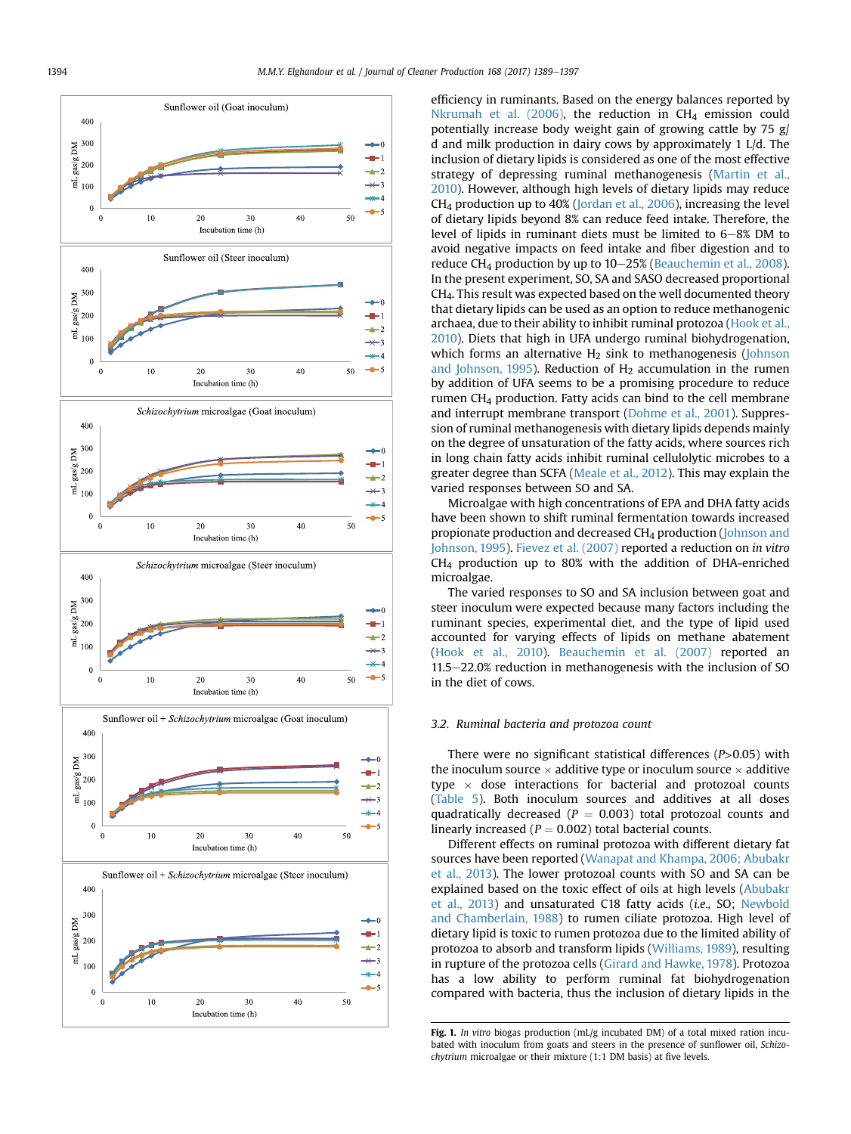<span id="page-5-0"></span>

efficiency in ruminants. Based on the energy balances reported by [Nkrumah et al. \(2006\)](#page-8-0), the reduction in  $CH<sub>4</sub>$  emission could potentially increase body weight gain of growing cattle by 75 g/ d and milk production in dairy cows by approximately 1 L/d. The inclusion of dietary lipids is considered as one of the most effective strategy of depressing ruminal methanogenesis [\(Martin et al.,](#page-8-0) [2010\)](#page-8-0). However, although high levels of dietary lipids may reduce  $CH<sub>4</sub>$  production up to 40% [\(Jordan et al., 2006](#page-8-0)), increasing the level of dietary lipids beyond 8% can reduce feed intake. Therefore, the level of lipids in ruminant diets must be limited to  $6-8\%$  DM to avoid negative impacts on feed intake and fiber digestion and to reduce CH<sub>4</sub> production by up to  $10-25%$  ([Beauchemin et al., 2008\)](#page-7-0). In the present experiment, SO, SA and SASO decreased proportional CH4. This result was expected based on the well documented theory that dietary lipids can be used as an option to reduce methanogenic archaea, due to their ability to inhibit ruminal protozoa [\(Hook et al.,](#page-8-0) [2010\)](#page-8-0). Diets that high in UFA undergo ruminal biohydrogenation, which forms an alternative  $H_2$  sink to methanogenesis [\(Johnson](#page-8-0) [and Johnson, 1995\)](#page-8-0). Reduction of  $H_2$  accumulation in the rumen by addition of UFA seems to be a promising procedure to reduce rumen CH4 production. Fatty acids can bind to the cell membrane and interrupt membrane transport ([Dohme et al., 2001\)](#page-7-0). Suppression of ruminal methanogenesis with dietary lipids depends mainly on the degree of unsaturation of the fatty acids, where sources rich in long chain fatty acids inhibit ruminal cellulolytic microbes to a greater degree than SCFA ([Meale et al., 2012](#page-8-0)). This may explain the varied responses between SO and SA.

Microalgae with high concentrations of EPA and DHA fatty acids have been shown to shift ruminal fermentation towards increased propionate production and decreased CH4 production ([Johnson and](#page-8-0) [Johnson, 1995](#page-8-0)). [Fievez et al. \(2007\)](#page-7-0) reported a reduction on in vitro CH4 production up to 80% with the addition of DHA-enriched microalgae.

The varied responses to SO and SA inclusion between goat and steer inoculum were expected because many factors including the ruminant species, experimental diet, and the type of lipid used accounted for varying effects of lipids on methane abatement ([Hook et al., 2010](#page-8-0)). [Beauchemin et al. \(2007\)](#page-7-0) reported an  $11.5-22.0%$  reduction in methanogenesis with the inclusion of SO in the diet of cows.

# 3.2. Ruminal bacteria and protozoa count

There were no significant statistical differences (P>0.05) with the inoculum source  $\times$  additive type or inoculum source  $\times$  additive type  $\times$  dose interactions for bacterial and protozoal counts ([Table 5](#page-6-0)). Both inoculum sources and additives at all doses quadratically decreased ( $P = 0.003$ ) total protozoal counts and linearly increased ( $P = 0.002$ ) total bacterial counts.

Different effects on ruminal protozoa with different dietary fat sources have been reported ([Wanapat and Khampa, 2006; Abubakr](#page-8-0) [et al., 2013](#page-8-0)). The lower protozoal counts with SO and SA can be explained based on the toxic effect of oils at high levels ([Abubakr](#page-7-0) [et al., 2013\)](#page-7-0) and unsaturated C18 fatty acids (i.e., SO; [Newbold](#page-8-0) [and Chamberlain, 1988](#page-8-0)) to rumen ciliate protozoa. High level of dietary lipid is toxic to rumen protozoa due to the limited ability of protozoa to absorb and transform lipids ([Williams, 1989](#page-8-0)), resulting in rupture of the protozoa cells ([Girard and Hawke, 1978\)](#page-8-0). Protozoa has a low ability to perform ruminal fat biohydrogenation compared with bacteria, thus the inclusion of dietary lipids in the

Fig. 1. In vitro biogas production (mL/g incubated DM) of a total mixed ration incubated with inoculum from goats and steers in the presence of sunflower oil, Schizochytrium microalgae or their mixture (1:1 DM basis) at five levels.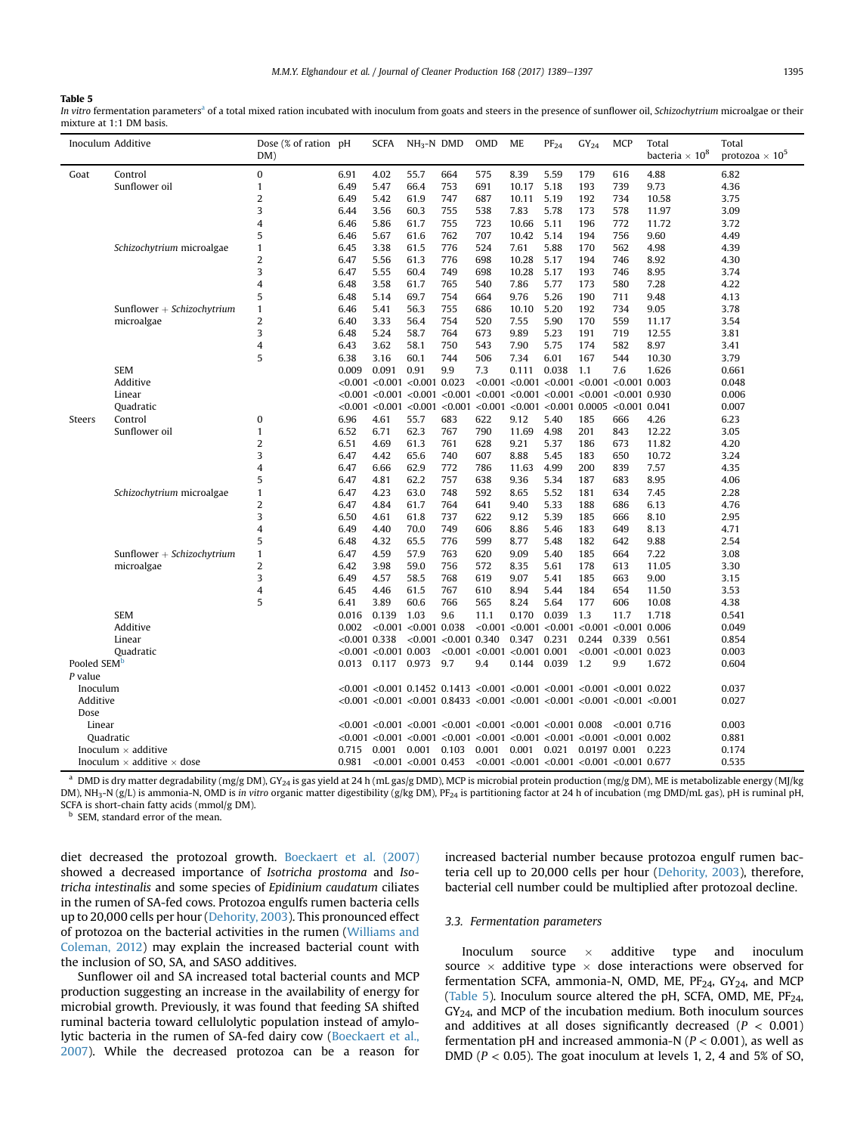#### <span id="page-6-0"></span>Table 5

In vitro fermentation parameters<sup>a</sup> of a total mixed ration incubated with inoculum from goats and steers in the presence of sunflower oil, Schizochytrium microalgae or their mixture at 1:1 DM basis.

|                         | Inoculum Additive                        | Dose (% of ration pH<br>DM) |                 | <b>SCFA</b>               | $NH3-N$ DMD                             |                           | <b>OMD</b>                          | <b>ME</b>                                                                                        | $PF_{24}$                                                                                                                                  | $GY_{24}$ | <b>MCP</b>              | Total<br>bacteria $\times$ $10^8$ | Total<br>protozoa $\times$ 10 <sup>5</sup> |
|-------------------------|------------------------------------------|-----------------------------|-----------------|---------------------------|-----------------------------------------|---------------------------|-------------------------------------|--------------------------------------------------------------------------------------------------|--------------------------------------------------------------------------------------------------------------------------------------------|-----------|-------------------------|-----------------------------------|--------------------------------------------|
| Goat                    | Control                                  | $\bf{0}$                    | 6.91            | 4.02                      | 55.7                                    | 664                       | 575                                 | 8.39                                                                                             | 5.59                                                                                                                                       | 179       | 616                     | 4.88                              | 6.82                                       |
|                         | Sunflower oil                            | $\mathbf{1}$                | 6.49            | 5.47                      | 66.4                                    | 753                       | 691                                 | 10.17                                                                                            | 5.18                                                                                                                                       | 193       | 739                     | 9.73                              | 4.36                                       |
|                         |                                          | $\overline{2}$              | 6.49            | 5.42                      | 61.9                                    | 747                       | 687                                 | 10.11                                                                                            | 5.19                                                                                                                                       | 192       | 734                     | 10.58                             | 3.75                                       |
|                         |                                          | 3                           | 6.44            | 3.56                      | 60.3                                    | 755                       | 538                                 | 7.83                                                                                             | 5.78                                                                                                                                       | 173       | 578                     | 11.97                             | 3.09                                       |
|                         |                                          | 4                           | 6.46            | 5.86                      | 61.7                                    | 755                       | 723                                 | 10.66                                                                                            | 5.11                                                                                                                                       | 196       | 772                     | 11.72                             | 3.72                                       |
|                         |                                          | 5                           | 6.46            | 5.67                      | 61.6                                    | 762                       | 707                                 | 10.42                                                                                            | 5.14                                                                                                                                       | 194       | 756                     | 9.60                              | 4.49                                       |
|                         | Schizochytrium microalgae                | $\mathbf{1}$                | 6.45            | 3.38                      | 61.5                                    | 776                       | 524                                 | 7.61                                                                                             | 5.88                                                                                                                                       | 170       | 562                     | 4.98                              | 4.39                                       |
|                         |                                          | $\overline{2}$              | 6.47            | 5.56                      | 61.3                                    | 776                       | 698                                 | 10.28                                                                                            | 5.17                                                                                                                                       | 194       | 746                     | 8.92                              | 4.30                                       |
|                         |                                          | 3                           | 6.47            | 5.55                      | 60.4                                    | 749                       | 698                                 | 10.28                                                                                            | 5.17                                                                                                                                       | 193       | 746                     | 8.95                              | 3.74                                       |
|                         |                                          | $\overline{4}$              | 6.48            | 3.58                      | 61.7                                    | 765                       | 540                                 | 7.86                                                                                             | 5.77                                                                                                                                       | 173       | 580                     | 7.28                              | 4.22                                       |
|                         |                                          | 5                           | 6.48            | 5.14                      | 69.7                                    | 754                       | 664                                 | 9.76                                                                                             | 5.26                                                                                                                                       | 190       | 711                     | 9.48                              | 4.13                                       |
|                         | Sunflower + Schizochytrium               | $\mathbf{1}$                | 6.46            | 5.41                      | 56.3                                    | 755                       | 686                                 | 10.10                                                                                            | 5.20                                                                                                                                       | 192       | 734                     | 9.05                              | 3.78                                       |
|                         | microalgae                               | $\overline{2}$              | 6.40            | 3.33                      | 56.4                                    | 754                       | 520                                 | 7.55                                                                                             | 5.90                                                                                                                                       | 170       | 559                     | 11.17                             | 3.54                                       |
|                         |                                          | 3                           | 6.48            | 5.24                      | 58.7                                    | 764                       | 673                                 | 9.89                                                                                             | 5.23                                                                                                                                       | 191       | 719                     | 12.55                             | 3.81                                       |
|                         |                                          | $\overline{4}$              | 6.43            | 3.62                      | 58.1                                    | 750                       | 543                                 | 7.90                                                                                             | 5.75                                                                                                                                       | 174       | 582                     | 8.97                              | 3.41                                       |
|                         |                                          | 5                           | 6.38            | 3.16                      | 60.1                                    | 744                       | 506                                 | 7.34                                                                                             | 6.01                                                                                                                                       | 167       | 544                     | 10.30                             | 3.79                                       |
|                         | <b>SEM</b>                               |                             | 0.009           | 0.091                     | 0.91                                    | 9.9                       | 7.3                                 | 0.111                                                                                            | 0.038                                                                                                                                      | 1.1       | 7.6                     | 1.626                             | 0.661                                      |
|                         | Additive                                 |                             |                 |                           | $< 0.001$ $< 0.001$ $< 0.001$ 0.023     |                           |                                     |                                                                                                  | $< 0.001$ < 0.001 < 0.001 < 0.001 < 0.001 0.003                                                                                            |           |                         |                                   | 0.048                                      |
|                         | Linear                                   |                             |                 |                           |                                         |                           |                                     |                                                                                                  | $<$ 0.001 $<$ 0.001 $<$ 0.001 $<$ 0.001 $<$ 0.001 $<$ 0.001 $<$ 0.001 $<$ 0.001 $<$ 0.001 0.930                                            |           |                         |                                   | 0.006                                      |
|                         | Quadratic                                |                             |                 |                           | $< 0.001$ $< 0.001$ $< 0.001$ $< 0.001$ |                           |                                     |                                                                                                  | $< 0.001$ < 0.001 < 0.001 0.0005 < 0.001 0.041                                                                                             |           |                         |                                   | 0.007                                      |
| Steers                  | Control                                  | 0                           | 6.96            | 4.61                      | 55.7                                    | 683                       | 622                                 | 9.12                                                                                             | 5.40                                                                                                                                       | 185       | 666                     | 4.26                              | 6.23                                       |
|                         | Sunflower oil                            | $\mathbf{1}$                | 6.52            | 6.71                      | 62.3                                    | 767                       | 790                                 | 11.69                                                                                            | 4.98                                                                                                                                       | 201       | 843                     | 12.22                             | 3.05                                       |
|                         |                                          | $\overline{2}$              | 6.51            | 4.69                      | 61.3                                    | 761                       | 628                                 | 9.21                                                                                             | 5.37                                                                                                                                       | 186       | 673                     | 11.82                             | 4.20                                       |
|                         |                                          | 3                           | 6.47            | 4.42                      | 65.6                                    | 740                       | 607                                 | 8.88                                                                                             | 5.45                                                                                                                                       | 183       | 650                     | 10.72                             | 3.24                                       |
|                         |                                          | 4                           | 6.47            | 6.66                      | 62.9                                    | 772                       | 786                                 | 11.63                                                                                            | 4.99                                                                                                                                       | 200       | 839                     | 7.57                              | 4.35                                       |
|                         |                                          | 5                           | 6.47            | 4.81                      | 62.2                                    | 757                       | 638                                 | 9.36                                                                                             | 5.34                                                                                                                                       | 187       | 683                     | 8.95                              | 4.06                                       |
|                         | Schizochytrium microalgae                | 1                           | 6.47            | 4.23                      | 63.0                                    | 748                       | 592                                 | 8.65                                                                                             | 5.52                                                                                                                                       | 181       | 634                     | 7.45                              | 2.28                                       |
|                         |                                          | $\overline{2}$              | 6.47            | 4.84                      | 61.7                                    | 764                       | 641                                 | 9.40                                                                                             | 5.33                                                                                                                                       | 188       | 686                     | 6.13                              | 4.76                                       |
|                         |                                          | 3                           | 6.50            | 4.61                      | 61.8                                    | 737                       | 622                                 | 9.12                                                                                             | 5.39                                                                                                                                       | 185       | 666                     | 8.10                              | 2.95                                       |
|                         |                                          | $\overline{4}$              | 6.49            | 4.40                      | 70.0                                    | 749                       | 606                                 | 8.86                                                                                             | 5.46                                                                                                                                       | 183       | 649                     | 8.13                              | 4.71                                       |
|                         |                                          | 5                           | 6.48            | 4.32                      | 65.5                                    | 776                       | 599                                 | 8.77                                                                                             | 5.48                                                                                                                                       | 182       | 642                     | 9.88                              | 2.54                                       |
|                         | Sunflower + Schizochytrium               | $\mathbf{1}$                | 6.47            | 4.59                      | 57.9                                    | 763                       | 620                                 | 9.09                                                                                             | 5.40                                                                                                                                       | 185       | 664                     | 7.22                              | 3.08                                       |
|                         | microalgae                               | $\overline{2}$              | 6.42            | 3.98                      | 59.0                                    | 756                       | 572                                 | 8.35                                                                                             | 5.61                                                                                                                                       | 178       | 613                     | 11.05                             | 3.30                                       |
|                         |                                          | 3                           | 6.49            | 4.57                      | 58.5                                    | 768                       | 619                                 | 9.07                                                                                             | 5.41                                                                                                                                       | 185       | 663                     | 9.00                              | 3.15                                       |
|                         |                                          | 4                           | 6.45            | 4.46                      | 61.5                                    | 767                       | 610                                 | 8.94                                                                                             | 5.44                                                                                                                                       | 184       | 654                     | 11.50                             | 3.53                                       |
|                         |                                          | 5                           | 6.41            | 3.89                      | 60.6                                    | 766                       | 565                                 | 8.24                                                                                             | 5.64                                                                                                                                       | 177       | 606                     | 10.08                             | 4.38                                       |
|                         | <b>SEM</b>                               |                             | 0.016           | 0.139                     | 1.03                                    | 9.6                       | 11.1                                | 0.170                                                                                            | 0.039                                                                                                                                      | 1.3       | 11.7                    | 1.718                             | 0.541                                      |
|                         | Additive                                 |                             | 0.002           | < 0.001                   | $< 0.001$ 0.038                         |                           |                                     |                                                                                                  | $< 0.001$ < 0.001 < 0.001 < 0.001                                                                                                          |           | $< 0.001$ 0.006         |                                   | 0.049                                      |
|                         | Linear                                   |                             | $< 0.001$ 0.338 |                           |                                         | $< 0.001$ $< 0.001$ 0.340 |                                     | 0.347                                                                                            | 0.231                                                                                                                                      | 0.244     | 0.339                   | 0.561                             | 0.854                                      |
|                         | Quadratic                                |                             |                 | $< 0.001$ $< 0.001$ 0.003 |                                         |                           | $< 0.001$ $< 0.001$ $< 0.001$ 0.001 |                                                                                                  |                                                                                                                                            |           | $< 0.001 < 0.001$ 0.023 |                                   | 0.003                                      |
| Pooled SEM <sup>D</sup> |                                          |                             | 0.013           |                           | 0.117 0.973 9.7                         |                           | 9.4                                 | 0.144                                                                                            | 0.039                                                                                                                                      | 1.2       | 9.9                     | 1.672                             | 0.604                                      |
| P value                 |                                          |                             |                 |                           |                                         |                           |                                     |                                                                                                  |                                                                                                                                            |           |                         |                                   |                                            |
| Inoculum                |                                          |                             |                 |                           |                                         |                           |                                     |                                                                                                  | $<$ 0.001 $<$ 0.001 0.1452 0.1413 $<$ 0.001 $<$ 0.001 $<$ 0.001 $<$ 0.001 $<$ 0.001 0.022                                                  |           |                         |                                   | 0.037                                      |
| Additive                |                                          |                             |                 |                           |                                         |                           |                                     | $<$ 0.001 $<$ 0.001 $<$ 0.001 0.8433 $<$ 0.001 $<$ 0.001 $<$ 0.001 $<$ 0.001 $<$ 0.001 $<$ 0.001 |                                                                                                                                            |           |                         | 0.027                             |                                            |
| Dose                    |                                          |                             |                 |                           |                                         |                           |                                     |                                                                                                  |                                                                                                                                            |           |                         |                                   |                                            |
| Linear                  |                                          |                             |                 |                           |                                         |                           |                                     |                                                                                                  | $< 0.001$ $< 0.001$ $< 0.001$ $< 0.001$ $< 0.001$ $< 0.001$ $< 0.001$ 0.008                                                                |           | $< 0.001$ 0.716         |                                   | 0.003                                      |
|                         | Quadratic                                |                             |                 |                           |                                         |                           |                                     |                                                                                                  | $<$ 0.001 $<$ 0.001 $<$ 0.001 $<$ 0.001 $<$ 0.001 $<$ 0.001 $<$ 0.001 $<$ 0.001 $<$ 0.001 0.002                                            |           |                         |                                   | 0.881                                      |
|                         | Inoculum $\times$ additive               |                             | 0.715           | 0.001                     | 0.001                                   |                           |                                     |                                                                                                  | $0.103$ $0.001$ $0.001$ $0.021$ $0.0197$ $0.001$                                                                                           |           |                         | 0.223                             | 0.174                                      |
|                         | Inoculum $\times$ additive $\times$ dose |                             | 0.981           |                           |                                         |                           |                                     |                                                                                                  | $\langle 0.001 \times 0.001 \times 0.453 \rangle$ $\langle 0.001 \times 0.001 \times 0.001 \times 0.001 \times 0.001 \times 0.001 \rangle$ |           |                         |                                   | 0.535                                      |

<sup>a</sup> DMD is dry matter degradability (mg/g DM), GY<sub>24</sub> is gas yield at 24 h (mL gas/g DMD), MCP is microbial protein production (mg/g DM), ME is metabolizable energy (MJ/kg DM), NH<sub>3</sub>-N (g/L) is ammonia-N, OMD is in vitro organic matter digestibility (g/kg DM), PF<sub>24</sub> is partitioning factor at 24 h of incubation (mg DMD/mL gas), pH is ruminal pH, SCFA is short-chain fatty acids (mmol/g DM).

**b** SEM, standard error of the mean.

diet decreased the protozoal growth. [Boeckaert et al. \(2007\)](#page-7-0) showed a decreased importance of Isotricha prostoma and Isotricha intestinalis and some species of Epidinium caudatum ciliates in the rumen of SA-fed cows. Protozoa engulfs rumen bacteria cells up to 20,000 cells per hour [\(Dehority, 2003\)](#page-7-0). This pronounced effect of protozoa on the bacterial activities in the rumen [\(Williams and](#page-8-0) [Coleman, 2012\)](#page-8-0) may explain the increased bacterial count with the inclusion of SO, SA, and SASO additives.

Sunflower oil and SA increased total bacterial counts and MCP production suggesting an increase in the availability of energy for microbial growth. Previously, it was found that feeding SA shifted ruminal bacteria toward cellulolytic population instead of amylolytic bacteria in the rumen of SA-fed dairy cow [\(Boeckaert et al.,](#page-7-0) [2007\)](#page-7-0). While the decreased protozoa can be a reason for increased bacterial number because protozoa engulf rumen bacteria cell up to 20,000 cells per hour ([Dehority, 2003\)](#page-7-0), therefore, bacterial cell number could be multiplied after protozoal decline.

#### 3.3. Fermentation parameters

Inoculum source  $\times$  additive type and inoculum source  $\times$  additive type  $\times$  dose interactions were observed for fermentation SCFA, ammonia-N, OMD, ME,  $PF_{24}$ ,  $GY_{24}$ , and MCP (Table 5). Inoculum source altered the pH, SCFA, OMD, ME,  $PF_{24}$ ,  $GY_{24}$ , and MCP of the incubation medium. Both inoculum sources and additives at all doses significantly decreased ( $P < 0.001$ ) fermentation pH and increased ammonia-N ( $P < 0.001$ ), as well as DMD ( $P < 0.05$ ). The goat inoculum at levels 1, 2, 4 and 5% of SO,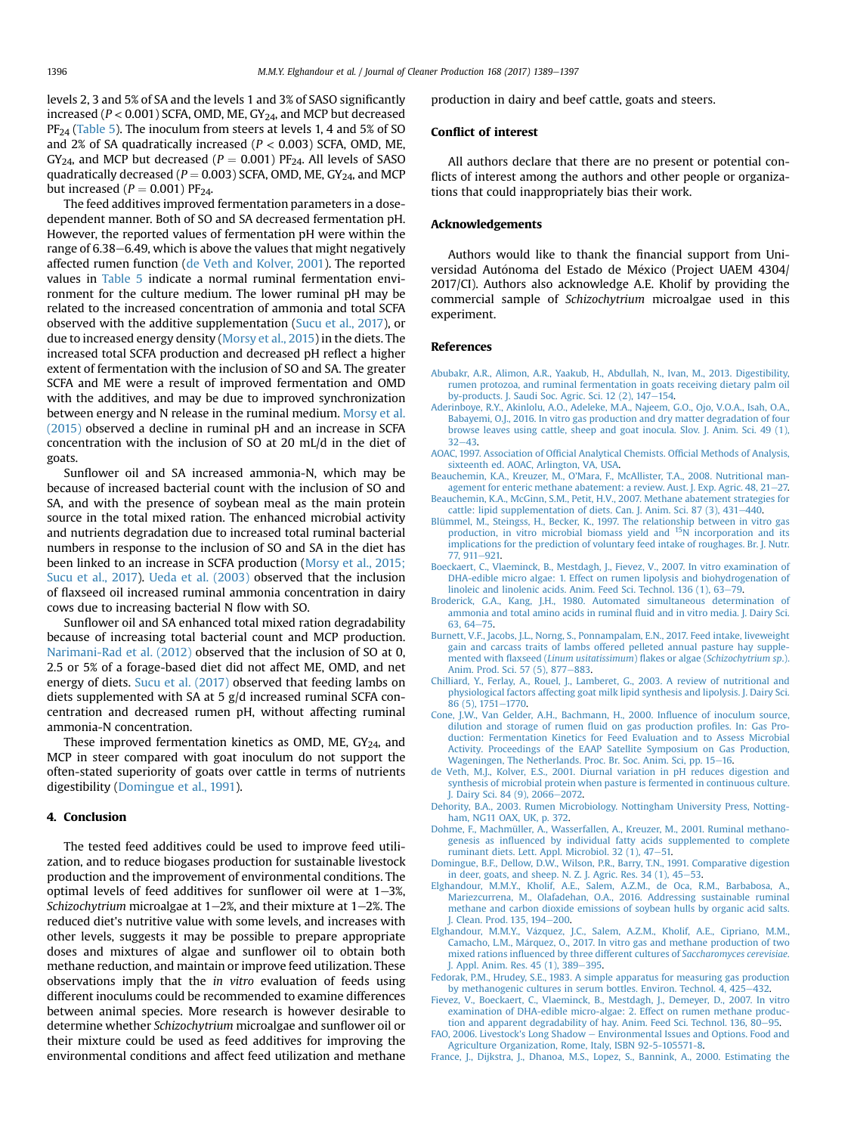<span id="page-7-0"></span>levels 2, 3 and 5% of SA and the levels 1 and 3% of SASO significantly increased ( $P < 0.001$ ) SCFA, OMD, ME, GY<sub>24</sub>, and MCP but decreased PF<sub>24</sub> ([Table 5\)](#page-6-0). The inoculum from steers at levels 1, 4 and 5% of SO and 2% of SA quadratically increased  $(P < 0.003)$  SCFA, OMD, ME,  $GY_{24}$ , and MCP but decreased ( $P = 0.001$ ) PF<sub>24</sub>. All levels of SASO quadratically decreased ( $P = 0.003$ ) SCFA, OMD, ME, GY<sub>24</sub>, and MCP but increased ( $P = 0.001$ ) PF<sub>24</sub>.

The feed additives improved fermentation parameters in a dosedependent manner. Both of SO and SA decreased fermentation pH. However, the reported values of fermentation pH were within the range of 6.38–6.49, which is above the values that might negatively affected rumen function (de Veth and Kolver, 2001). The reported values in [Table 5](#page-6-0) indicate a normal ruminal fermentation environment for the culture medium. The lower ruminal pH may be related to the increased concentration of ammonia and total SCFA observed with the additive supplementation [\(Sucu et al., 2017](#page-8-0)), or due to increased energy density ([Morsy et al., 2015](#page-8-0)) in the diets. The increased total SCFA production and decreased pH reflect a higher extent of fermentation with the inclusion of SO and SA. The greater SCFA and ME were a result of improved fermentation and OMD with the additives, and may be due to improved synchronization between energy and N release in the ruminal medium. [Morsy et al.](#page-8-0) [\(2015\)](#page-8-0) observed a decline in ruminal pH and an increase in SCFA concentration with the inclusion of SO at 20 mL/d in the diet of goats.

Sunflower oil and SA increased ammonia-N, which may be because of increased bacterial count with the inclusion of SO and SA, and with the presence of soybean meal as the main protein source in the total mixed ration. The enhanced microbial activity and nutrients degradation due to increased total ruminal bacterial numbers in response to the inclusion of SO and SA in the diet has been linked to an increase in SCFA production ([Morsy et al., 2015;](#page-8-0) [Sucu et al., 2017](#page-8-0)). [Ueda et al. \(2003\)](#page-8-0) observed that the inclusion of flaxseed oil increased ruminal ammonia concentration in dairy cows due to increasing bacterial N flow with SO.

Sunflower oil and SA enhanced total mixed ration degradability because of increasing total bacterial count and MCP production. [Narimani-Rad et al. \(2012\)](#page-8-0) observed that the inclusion of SO at 0, 2.5 or 5% of a forage-based diet did not affect ME, OMD, and net energy of diets. [Sucu et al. \(2017\)](#page-8-0) observed that feeding lambs on diets supplemented with SA at 5 g/d increased ruminal SCFA concentration and decreased rumen pH, without affecting ruminal ammonia-N concentration.

These improved fermentation kinetics as OMD, ME,  $GY_{24}$ , and MCP in steer compared with goat inoculum do not support the often-stated superiority of goats over cattle in terms of nutrients digestibility (Domingue et al., 1991).

# 4. Conclusion

The tested feed additives could be used to improve feed utilization, and to reduce biogases production for sustainable livestock production and the improvement of environmental conditions. The optimal levels of feed additives for sunflower oil were at  $1-3\%$ , Schizochytrium microalgae at  $1-2$ %, and their mixture at  $1-2$ %. The reduced diet's nutritive value with some levels, and increases with other levels, suggests it may be possible to prepare appropriate doses and mixtures of algae and sunflower oil to obtain both methane reduction, and maintain or improve feed utilization. These observations imply that the in vitro evaluation of feeds using different inoculums could be recommended to examine differences between animal species. More research is however desirable to determine whether Schizochytrium microalgae and sunflower oil or their mixture could be used as feed additives for improving the environmental conditions and affect feed utilization and methane production in dairy and beef cattle, goats and steers.

#### Conflict of interest

All authors declare that there are no present or potential conflicts of interest among the authors and other people or organizations that could inappropriately bias their work.

# Acknowledgements

Authors would like to thank the financial support from Universidad Autónoma del Estado de México (Project UAEM 4304/ 2017/CI). Authors also acknowledge A.E. Kholif by providing the commercial sample of Schizochytrium microalgae used in this experiment.

# References

- [Abubakr, A.R., Alimon, A.R., Yaakub, H., Abdullah, N., Ivan, M., 2013. Digestibility,](http://refhub.elsevier.com/S0959-6526(17)32032-2/sref1) [rumen protozoa, and ruminal fermentation in goats receiving dietary palm oil](http://refhub.elsevier.com/S0959-6526(17)32032-2/sref1) [by-products. J. Saudi Soc. Agric. Sci. 12 \(2\), 147](http://refhub.elsevier.com/S0959-6526(17)32032-2/sref1)-[154.](http://refhub.elsevier.com/S0959-6526(17)32032-2/sref1)
- [Aderinboye, R.Y., Akinlolu, A.O., Adeleke, M.A., Najeem, G.O., Ojo, V.O.A., Isah, O.A.,](http://refhub.elsevier.com/S0959-6526(17)32032-2/sref2) [Babayemi, O.J., 2016. In vitro gas production and dry matter degradation of four](http://refhub.elsevier.com/S0959-6526(17)32032-2/sref2) [browse leaves using cattle, sheep and goat inocula. Slov. J. Anim. Sci. 49 \(1\),](http://refhub.elsevier.com/S0959-6526(17)32032-2/sref2)  $32 - 43$  $32 - 43$ .
- [AOAC, 1997. Association of Of](http://refhub.elsevier.com/S0959-6526(17)32032-2/sref3)ficial Analytical Chemists. Official Methods of Analysis, [sixteenth ed. AOAC, Arlington, VA, USA](http://refhub.elsevier.com/S0959-6526(17)32032-2/sref3).
- [Beauchemin, K.A., Kreuzer, M., O'Mara, F., McAllister, T.A., 2008. Nutritional man](http://refhub.elsevier.com/S0959-6526(17)32032-2/sref4)[agement for enteric methane abatement: a review. Aust. J. Exp. Agric. 48, 21](http://refhub.elsevier.com/S0959-6526(17)32032-2/sref4)-[27.](http://refhub.elsevier.com/S0959-6526(17)32032-2/sref4) [Beauchemin, K.A., McGinn, S.M., Petit, H.V., 2007. Methane abatement strategies for](http://refhub.elsevier.com/S0959-6526(17)32032-2/sref5)
- [cattle: lipid supplementation of diets. Can. J. Anim. Sci. 87 \(3\), 431](http://refhub.elsevier.com/S0959-6526(17)32032-2/sref5)-[440](http://refhub.elsevier.com/S0959-6526(17)32032-2/sref5). [Blümmel, M., Steingss, H., Becker, K., 1997. The relationship between in vitro gas](http://refhub.elsevier.com/S0959-6526(17)32032-2/sref6)
- [production, in vitro microbial biomass yield and](http://refhub.elsevier.com/S0959-6526(17)32032-2/sref6) <sup>15</sup>[N incorporation and its](http://refhub.elsevier.com/S0959-6526(17)32032-2/sref6) [implications for the prediction of voluntary feed intake of roughages. Br. J. Nutr.](http://refhub.elsevier.com/S0959-6526(17)32032-2/sref6)  $77.911 - 921.$  $77.911 - 921.$
- [Boeckaert, C., Vlaeminck, B., Mestdagh, J., Fievez, V., 2007. In vitro examination of](http://refhub.elsevier.com/S0959-6526(17)32032-2/sref7) [DHA-edible micro algae: 1. Effect on rumen lipolysis and biohydrogenation of](http://refhub.elsevier.com/S0959-6526(17)32032-2/sref7) [linoleic and linolenic acids. Anim. Feed Sci. Technol. 136 \(1\), 63](http://refhub.elsevier.com/S0959-6526(17)32032-2/sref7)-[79.](http://refhub.elsevier.com/S0959-6526(17)32032-2/sref7)
- [Broderick, G.A., Kang, J.H., 1980. Automated simultaneous determination of](http://refhub.elsevier.com/S0959-6526(17)32032-2/sref8) [ammonia and total amino acids in ruminal](http://refhub.elsevier.com/S0959-6526(17)32032-2/sref8) fluid and in vitro media. J. Dairy Sci.  $63, 64 - 75.$  $63, 64 - 75.$  $63, 64 - 75.$  $63, 64 - 75.$
- [Burnett, V.F., Jacobs, J.L., Norng, S., Ponnampalam, E.N., 2017. Feed intake, liveweight](http://refhub.elsevier.com/S0959-6526(17)32032-2/sref9) [gain and carcass traits of lambs offered pelleted annual pasture hay supple-](http://refhub.elsevier.com/S0959-6526(17)32032-2/sref9)mented with flaxseed ([Linum usitatissimum](http://refhub.elsevier.com/S0959-6526(17)32032-2/sref9)) flakes or algae (Schizochytrium sp.). [Anim. Prod. Sci. 57 \(5\), 877](http://refhub.elsevier.com/S0959-6526(17)32032-2/sref9)-[883](http://refhub.elsevier.com/S0959-6526(17)32032-2/sref9).
- [Chilliard, Y., Ferlay, A., Rouel, J., Lamberet, G., 2003. A review of nutritional and](http://refhub.elsevier.com/S0959-6526(17)32032-2/sref10) [physiological factors affecting goat milk lipid synthesis and lipolysis. J. Dairy Sci.](http://refhub.elsevier.com/S0959-6526(17)32032-2/sref10) [86 \(5\), 1751](http://refhub.elsevier.com/S0959-6526(17)32032-2/sref10)-[1770](http://refhub.elsevier.com/S0959-6526(17)32032-2/sref10).
- [Cone, J.W., Van Gelder, A.H., Bachmann, H., 2000. In](http://refhub.elsevier.com/S0959-6526(17)32032-2/sref11)fluence of inoculum source, [dilution and storage of rumen](http://refhub.elsevier.com/S0959-6526(17)32032-2/sref11) fluid on gas production profiles. In: Gas Pro[duction: Fermentation Kinetics for Feed Evaluation and to Assess Microbial](http://refhub.elsevier.com/S0959-6526(17)32032-2/sref11) [Activity. Proceedings of the EAAP Satellite Symposium on Gas Production,](http://refhub.elsevier.com/S0959-6526(17)32032-2/sref11) [Wageningen, The Netherlands. Proc. Br. Soc. Anim. Sci, pp. 15](http://refhub.elsevier.com/S0959-6526(17)32032-2/sref11)-[16.](http://refhub.elsevier.com/S0959-6526(17)32032-2/sref11)
- [de Veth, M.J., Kolver, E.S., 2001. Diurnal variation in pH reduces digestion and](http://refhub.elsevier.com/S0959-6526(17)32032-2/sref12) [synthesis of microbial protein when pasture is fermented in continuous culture.](http://refhub.elsevier.com/S0959-6526(17)32032-2/sref12) [J. Dairy Sci. 84 \(9\), 2066](http://refhub.elsevier.com/S0959-6526(17)32032-2/sref12)-[2072.](http://refhub.elsevier.com/S0959-6526(17)32032-2/sref12)
- [Dehority, B.A., 2003. Rumen Microbiology. Nottingham University Press, Notting-](http://refhub.elsevier.com/S0959-6526(17)32032-2/sref13)
- [ham, NG11 OAX, UK, p. 372.](http://refhub.elsevier.com/S0959-6526(17)32032-2/sref13) [Dohme, F., Machmüller, A., Wasserfallen, A., Kreuzer, M., 2001. Ruminal methano](http://refhub.elsevier.com/S0959-6526(17)32032-2/sref14)genesis as infl[uenced by individual fatty acids supplemented to complete](http://refhub.elsevier.com/S0959-6526(17)32032-2/sref14) [ruminant diets. Lett. Appl. Microbiol. 32 \(1\), 47](http://refhub.elsevier.com/S0959-6526(17)32032-2/sref14)–[51.](http://refhub.elsevier.com/S0959-6526(17)32032-2/sref14)
- [Domingue, B.F., Dellow, D.W., Wilson, P.R., Barry, T.N., 1991. Comparative digestion](http://refhub.elsevier.com/S0959-6526(17)32032-2/sref15) in deer, goats, and sheep. N. Z. J. Agric. Res.  $34$  (1),  $45-53$ .
- [Elghandour, M.M.Y., Kholif, A.E., Salem, A.Z.M., de Oca, R.M., Barbabosa, A.,](http://refhub.elsevier.com/S0959-6526(17)32032-2/sref16) [Mariezcurrena, M., Olafadehan, O.A., 2016. Addressing sustainable ruminal](http://refhub.elsevier.com/S0959-6526(17)32032-2/sref16) [methane and carbon dioxide emissions of soybean hulls by organic acid salts.](http://refhub.elsevier.com/S0959-6526(17)32032-2/sref16) [J. Clean. Prod. 135, 194](http://refhub.elsevier.com/S0959-6526(17)32032-2/sref16)–[200.](http://refhub.elsevier.com/S0959-6526(17)32032-2/sref16)
- [Elghandour, M.M.Y., Vazquez, J.C., Salem, A.Z.M., Kholif, A.E., Cipriano, M.M.,](http://refhub.elsevier.com/S0959-6526(17)32032-2/sref17) [Camacho, L.M., M](http://refhub.elsevier.com/S0959-6526(17)32032-2/sref17)a[rquez, O., 2017. In vitro gas and methane production of two](http://refhub.elsevier.com/S0959-6526(17)32032-2/sref17) mixed rations infl[uenced by three different cultures of](http://refhub.elsevier.com/S0959-6526(17)32032-2/sref17) Saccharomyces cerevisiae. [J. Appl. Anim. Res. 45 \(1\), 389](http://refhub.elsevier.com/S0959-6526(17)32032-2/sref17)-[395](http://refhub.elsevier.com/S0959-6526(17)32032-2/sref17).
- [Fedorak, P.M., Hrudey, S.E., 1983. A simple apparatus for measuring gas production](http://refhub.elsevier.com/S0959-6526(17)32032-2/sref18) [by methanogenic cultures in serum bottles. Environ. Technol. 4, 425](http://refhub.elsevier.com/S0959-6526(17)32032-2/sref18)-[432.](http://refhub.elsevier.com/S0959-6526(17)32032-2/sref18)
- [Fievez, V., Boeckaert, C., Vlaeminck, B., Mestdagh, J., Demeyer, D., 2007. In vitro](http://refhub.elsevier.com/S0959-6526(17)32032-2/sref19) [examination of DHA-edible micro-algae: 2. Effect on rumen methane produc](http://refhub.elsevier.com/S0959-6526(17)32032-2/sref19)[tion and apparent degradability of hay. Anim. Feed Sci. Technol. 136, 80](http://refhub.elsevier.com/S0959-6526(17)32032-2/sref19)-[95.](http://refhub.elsevier.com/S0959-6526(17)32032-2/sref19)
- [FAO, 2006. Livestock's Long Shadow](http://refhub.elsevier.com/S0959-6526(17)32032-2/sref20) [Environmental Issues and Options. Food and](http://refhub.elsevier.com/S0959-6526(17)32032-2/sref20) [Agriculture Organization, Rome, Italy, ISBN 92-5-105571-8.](http://refhub.elsevier.com/S0959-6526(17)32032-2/sref20)
- [France, J., Dijkstra, J., Dhanoa, M.S., Lopez, S., Bannink, A., 2000. Estimating the](http://refhub.elsevier.com/S0959-6526(17)32032-2/sref21)